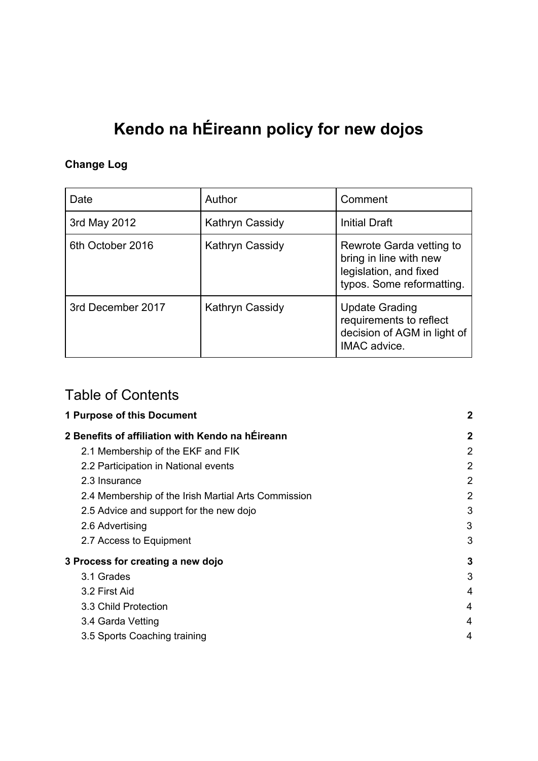# **Kendo na hÉireann policy for new dojos**

#### **Change Log**

| Date              | Author          | Comment                                                                                                   |
|-------------------|-----------------|-----------------------------------------------------------------------------------------------------------|
| 3rd May 2012      | Kathryn Cassidy | <b>Initial Draft</b>                                                                                      |
| 6th October 2016  | Kathryn Cassidy | Rewrote Garda vetting to<br>bring in line with new<br>legislation, and fixed<br>typos. Some reformatting. |
| 3rd December 2017 | Kathryn Cassidy | <b>Update Grading</b><br>requirements to reflect<br>decision of AGM in light of<br>IMAC advice.           |

#### Table of Contents

| 2              |
|----------------|
| $\mathbf{2}$   |
| $\overline{2}$ |
| 2              |
| $\overline{2}$ |
| 2              |
| 3              |
| 3              |
| 3              |
| 3              |
| 3              |
| 4              |
| 4              |
| 4              |
| 4              |
|                |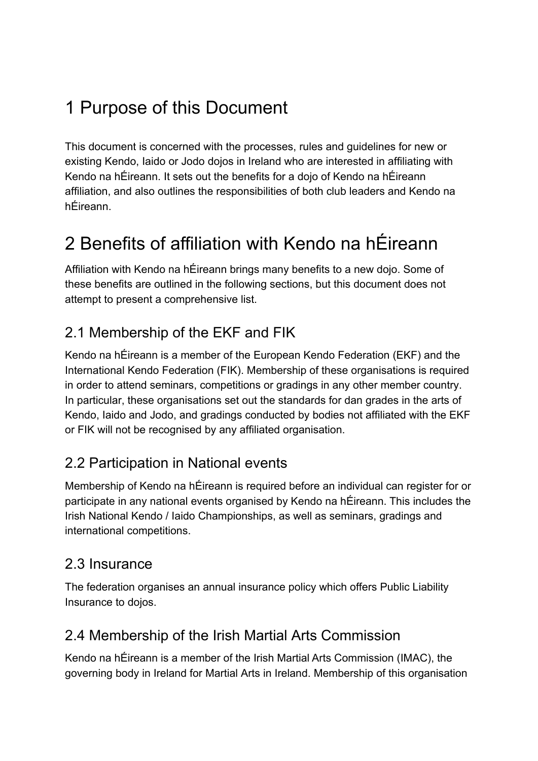# <span id="page-1-0"></span>1 Purpose of this Document

This document is concerned with the processes, rules and guidelines for new or existing Kendo, Iaido or Jodo dojos in Ireland who are interested in affiliating with Kendo na hÉireann. It sets out the benefits for a dojo of Kendo na hÉireann affiliation, and also outlines the responsibilities of both club leaders and Kendo na hÉireann.

# <span id="page-1-1"></span>2 Benefits of affiliation with Kendo na hÉireann

Affiliation with Kendo na hÉireann brings many benefits to a new dojo. Some of these benefits are outlined in the following sections, but this document does not attempt to present a comprehensive list.

### <span id="page-1-2"></span>2.1 Membership of the EKF and FIK

Kendo na hÉireann is a member of the European Kendo Federation (EKF) and the International Kendo Federation (FIK). Membership of these organisations is required in order to attend seminars, competitions or gradings in any other member country. In particular, these organisations set out the standards for dan grades in the arts of Kendo, Iaido and Jodo, and gradings conducted by bodies not affiliated with the EKF or FIK will not be recognised by any affiliated organisation.

### <span id="page-1-3"></span>2.2 Participation in National events

Membership of Kendo na hÉireann is required before an individual can register for or participate in any national events organised by Kendo na hÉireann. This includes the Irish National Kendo / Iaido Championships, as well as seminars, gradings and international competitions.

#### <span id="page-1-4"></span>2.3 Insurance

The federation organises an annual insurance policy which offers Public Liability Insurance to dojos.

#### <span id="page-1-5"></span>2.4 Membership of the Irish Martial Arts Commission

Kendo na hÉireann is a member of the Irish Martial Arts Commission (IMAC), the governing body in Ireland for Martial Arts in Ireland. Membership of this organisation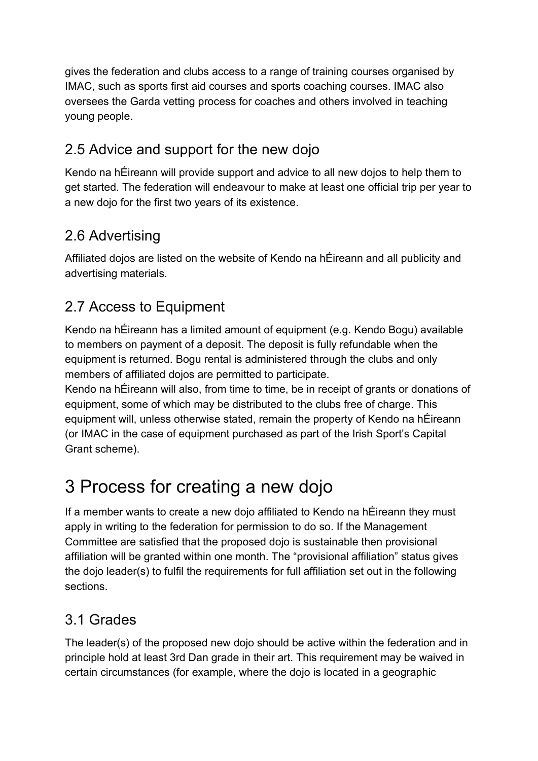gives the federation and clubs access to a range of training courses organised by IMAC, such as sports first aid courses and sports coaching courses. IMAC also oversees the Garda vetting process for coaches and others involved in teaching young people.

### <span id="page-2-0"></span>2.5 Advice and support for the new dojo

Kendo na hÉireann will provide support and advice to all new dojos to help them to get started. The federation will endeavour to make at least one official trip per year to a new dojo for the first two years of its existence.

#### <span id="page-2-1"></span>2.6 Advertising

Affiliated dojos are listed on the website of Kendo na hÉireann and all publicity and advertising materials.

#### <span id="page-2-2"></span>2.7 Access to Equipment

Kendo na hÉireann has a limited amount of equipment (e.g. Kendo Bogu) available to members on payment of a deposit. The deposit is fully refundable when the equipment is returned. Bogu rental is administered through the clubs and only members of affiliated dojos are permitted to participate.

Kendo na hÉireann will also, from time to time, be in receipt of grants or donations of equipment, some of which may be distributed to the clubs free of charge. This equipment will, unless otherwise stated, remain the property of Kendo na hÉireann (or IMAC in the case of equipment purchased as part of the Irish Sport's Capital Grant scheme).

# <span id="page-2-3"></span>3 Process for creating a new dojo

If a member wants to create a new dojo affiliated to Kendo na hÉireann they must apply in writing to the federation for permission to do so. If the Management Committee are satisfied that the proposed dojo is sustainable then provisional affiliation will be granted within one month. The "provisional affiliation" status gives the dojo leader(s) to fulfil the requirements for full affiliation set out in the following sections.

#### <span id="page-2-4"></span>3.1 Grades

The leader(s) of the proposed new dojo should be active within the federation and in principle hold at least 3rd Dan grade in their art. This requirement may be waived in certain circumstances (for example, where the dojo is located in a geographic